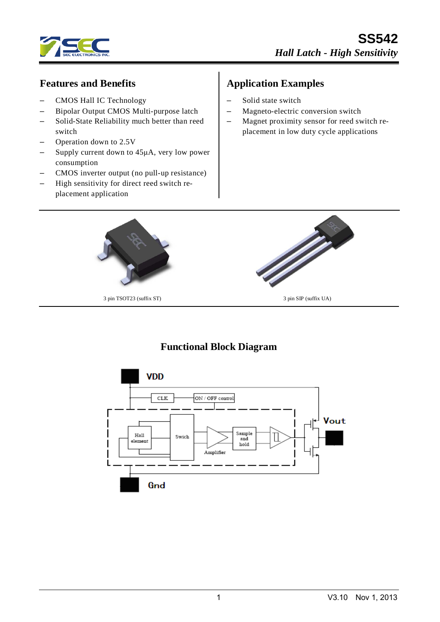

#### **Features and Benefits**

- CMOS Hall IC Technology
- Bipolar Output CMOS Multi-purpose latch
- Solid-State Reliability much better than reed switch
- Operation down to 2.5V
- Supply current down to 45μA, very low power consumption
- CMOS inverter output (no pull-up resistance)
- High sensitivity for direct reed switch replacement application

# **Application Examples**

- Solid state switch
- Magneto-electric conversion switch
- Magnet proximity sensor for reed switch replacement in low duty cycle applications



# **Functional Block Diagram**

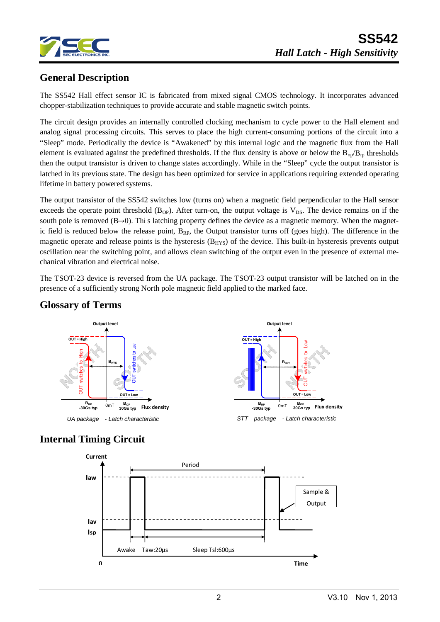

## **General Description**

The SS542 Hall effect sensor IC is fabricated from mixed signal CMOS technology. It incorporates advanced chopper-stabilization techniques to provide accurate and stable magnetic switch points.

The circuit design provides an internally controlled clocking mechanism to cycle power to the Hall element and analog signal processing circuits. This serves to place the high current-consuming portions of the circuit into a "Sleep" mode. Periodically the device is "Awakened" by this internal logic and the magnetic flux from the Hall element is evaluated against the predefined thresholds. If the flux density is above or below the  $B_{op}/B_{rp}$  thresholds then the output transistor is driven to change states accordingly. While in the "Sleep" cycle the output transistor is latched in its previous state. The design has been optimized for service in applications requiring extended operating lifetime in battery powered systems.

The output transistor of the SS542 switches low (turns on) when a magnetic field perpendicular to the Hall sensor exceeds the operate point threshold ( $B_{OP}$ ). After turn-on, the output voltage is  $V_{DS}$ . The device remains on if the south pole is removed  $(B\rightarrow 0)$ . This latching property defines the device as a magnetic memory. When the magnetic field is reduced below the release point,  $B_{RP}$ , the Output transistor turns off (goes high). The difference in the magnetic operate and release points is the hysteresis  $(B<sub>HYS</sub>)$  of the device. This built-in hysteresis prevents output oscillation near the switching point, and allows clean switching of the output even in the presence of external mechanical vibration and electrical noise.

The TSOT-23 device is reversed from the UA package. The TSOT-23 output transistor will be latched on in the presence of a sufficiently strong North pole magnetic field applied to the marked face.



#### **Glossary of Terms**

### **Internal Timing Circuit**

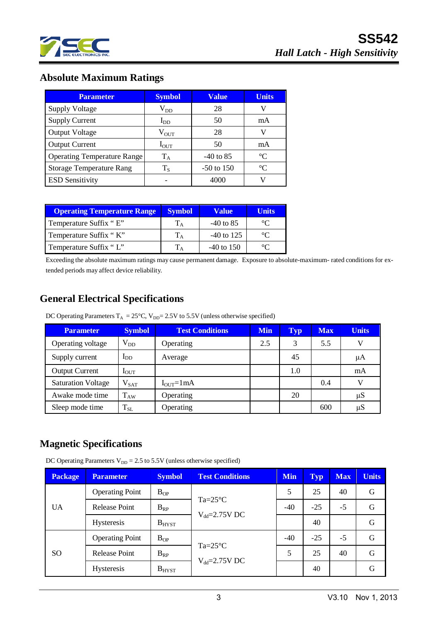

### **Absolute Maximum Ratings**

| <b>Parameter</b>                   | <b>Symbol</b>     | <b>Value</b> | <b>Units</b> |
|------------------------------------|-------------------|--------------|--------------|
| <b>Supply Voltage</b>              | $\rm V_{DD}$      | 28           | V            |
| <b>Supply Current</b>              | $I_{DD}$          | 50           | mA           |
| <b>Output Voltage</b>              | $\rm V_{\rm OUT}$ | 28           | V            |
| <b>Output Current</b>              | $I_{\text{OUT}}$  | 50           | mA           |
| <b>Operating Temperature Range</b> | $\rm T_A$         | $-40$ to 85  | $^{\circ}C$  |
| <b>Storage Temperature Rang</b>    | $T_{\rm S}$       | $-50$ to 150 | $^{\circ}C$  |
| <b>ESD Sensitivity</b>             |                   | 4000         |              |

| <b>Operating Temperature Range</b> | <b>Symbol</b> | Value        | Units   |
|------------------------------------|---------------|--------------|---------|
| Temperature Suffix "E"             |               | $-40$ to 85  | $\circ$ |
| Temperature Suffix "K"             |               | $-40$ to 125 | $\circ$ |
| Temperature Suffix "L"             |               | $-40$ to 150 | $\circ$ |

Exceeding the absolute maximum ratings may cause permanent damage. Exposure to absolute-maximum- rated conditions for extended periods may affect device reliability.

### **General Electrical Specifications**

DC Operating Parameters  $T_A = 25^{\circ}$ C, V<sub>DD</sub>= 2.5V to 5.5V (unless otherwise specified)

| <b>Parameter</b>          | <b>Symbol</b>    | <b>Test Conditions</b> | <b>Min</b> | Typ | <b>Max</b> | <b>Units</b> |
|---------------------------|------------------|------------------------|------------|-----|------------|--------------|
| Operating voltage         | $V_{DD}$         | Operating              | 2.5        | 3   | 5.5        | V            |
| Supply current            | $I_{DD}$         | Average                |            | 45  |            | μA           |
| <b>Output Current</b>     | I <sub>OUT</sub> |                        |            | 1.0 |            | mA           |
| <b>Saturation Voltage</b> | $V_{\rm SAT}$    | $IOUT=1mA$             |            |     | 0.4        | V            |
| Awake mode time           | $T_{AW}$         | Operating              |            | 20  |            | $\mu S$      |
| Sleep mode time           | $T_{SL}$         | Operating              |            |     | 600        | $\mu S$      |

### **Magnetic Specifications**

DC Operating Parameters  $V_{DD} = 2.5$  to 5.5V (unless otherwise specified)

| <b>Package</b> | <b>Parameter</b>                                       | <b>Symbol</b> | <b>Test Conditions</b>                 | <b>Min</b> | <b>Typ</b> | <b>Max</b> | <b>Units</b> |
|----------------|--------------------------------------------------------|---------------|----------------------------------------|------------|------------|------------|--------------|
|                | <b>Operating Point</b>                                 | $B_{OP}$      |                                        | 5          | 25         | 40         | G            |
| <b>UA</b>      | $Ta = 25^{\circ}C$<br><b>Release Point</b><br>$B_{RP}$ | $-40$         | $-25$                                  | $-5$       | G          |            |              |
|                | <b>Hysteresis</b>                                      | $B_{H YST}$   | $V_{dd} = 2.75V$ DC                    |            | 40         |            | G            |
| <sub>SO</sub>  | <b>Operating Point</b>                                 | $B_{OP}$      | $Ta=25^{\circ}C$<br>$V_{dd}$ =2.75V DC | $-40$      | $-25$      | $-5$       | G            |
|                | Release Point                                          | $B_{RP}$      |                                        | 5          | 25         | 40         | G            |
|                | <b>Hysteresis</b>                                      | $B_{H YST}$   |                                        |            | 40         |            | G            |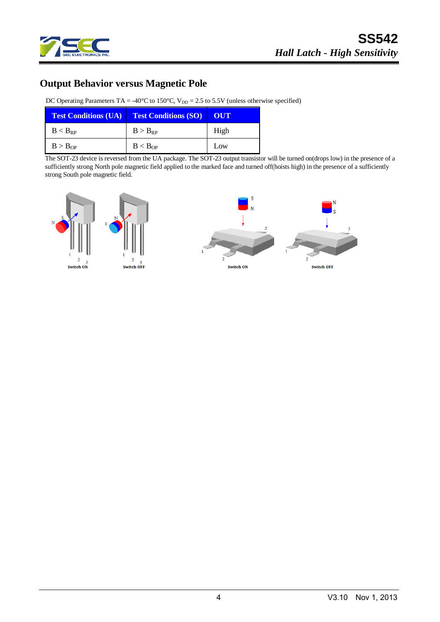

### **Output Behavior versus Magnetic Pole**

DC Operating Parameters TA = -40°C to 150°C,  $V_{DD} = 2.5$  to 5.5V (unless otherwise specified)

| <b>Test Conditions (UA)</b> | <b>Test Conditions (SO)</b> | OUT  |
|-----------------------------|-----------------------------|------|
| $B < B_{RP}$                | $B > B_{RP}$                | High |
| $B > B_{OP}$                | B < B <sub>OP</sub>         | Low  |

The SOT-23 device is reversed from the UA package. The SOT-23 output transistor will be turned on(drops low) in the presence of a sufficiently strong North pole magnetic field applied to the marked face and turned off(hoists high) in the presence of a sufficiently strong South pole magnetic field.

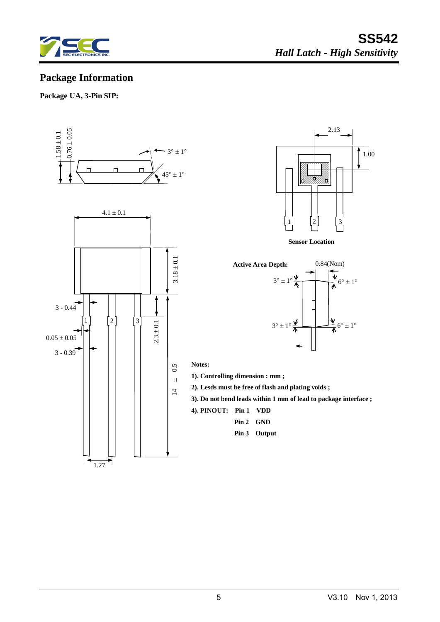

### **Package Information**

#### **Package UA, 3-Pin SIP:**





**Sensor Location**



**Notes:**

- **1). Controlling dimension : mm ;**
- **2). Lesds must be free of flash and plating voids ;**
- **3). Do not bend leads within 1 mm of lead to package interface ;**
- **4). PINOUT: Pin 1 VDD**
	- **Pin 2 GND**
		- **Pin 3 Output**